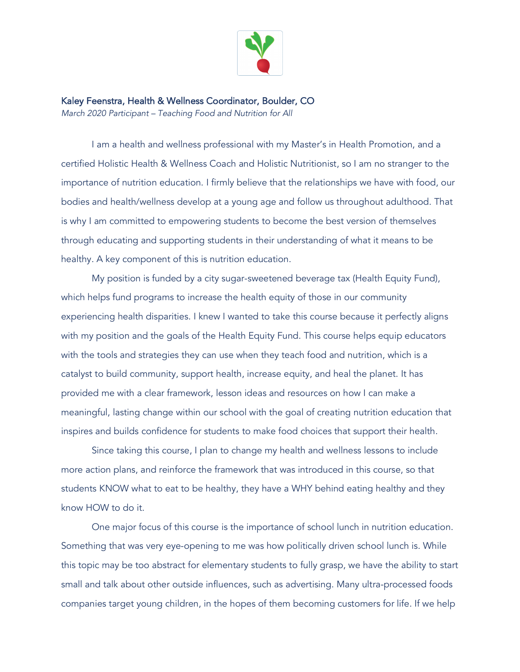

Kaley Feenstra, Health & Wellness Coordinator, Boulder, CO *March 2020 Participant – Teaching Food and Nutrition for All* 

I am a health and wellness professional with my Master's in Health Promotion, and a certified Holistic Health & Wellness Coach and Holistic Nutritionist, so I am no stranger to the importance of nutrition education. I firmly believe that the relationships we have with food, our bodies and health/wellness develop at a young age and follow us throughout adulthood. That is why I am committed to empowering students to become the best version of themselves through educating and supporting students in their understanding of what it means to be healthy. A key component of this is nutrition education.

My position is funded by a city sugar-sweetened beverage tax (Health Equity Fund), which helps fund programs to increase the health equity of those in our community experiencing health disparities. I knew I wanted to take this course because it perfectly aligns with my position and the goals of the Health Equity Fund. This course helps equip educators with the tools and strategies they can use when they teach food and nutrition, which is a catalyst to build community, support health, increase equity, and heal the planet. It has provided me with a clear framework, lesson ideas and resources on how I can make a meaningful, lasting change within our school with the goal of creating nutrition education that inspires and builds confidence for students to make food choices that support their health.

Since taking this course, I plan to change my health and wellness lessons to include more action plans, and reinforce the framework that was introduced in this course, so that students KNOW what to eat to be healthy, they have a WHY behind eating healthy and they know HOW to do it.

One major focus of this course is the importance of school lunch in nutrition education. Something that was very eye-opening to me was how politically driven school lunch is. While this topic may be too abstract for elementary students to fully grasp, we have the ability to start small and talk about other outside influences, such as advertising. Many ultra-processed foods companies target young children, in the hopes of them becoming customers for life. If we help